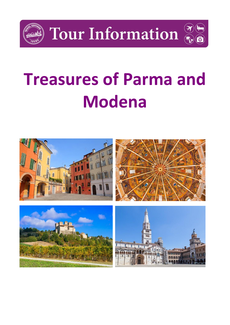

Tour Information



# **Treasures of Parma and Modena**

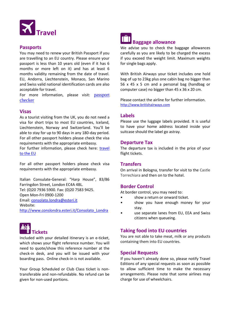

#### **Passports**

You may need to renew your British Passport if you are travelling to an EU country. Please ensure your passport is less than 10 years old (even if it has 6 months or more left on it) and has at least 6 months validity remaining from the date of travel. EU, Andorra, Liechtenstein, Monaco, San Marino and Swiss valid national identification cards are also acceptable for travel.

For more information, please visit: **passport** [checker](https://www.gov.uk/visit-europe-1-january-2021?utm_medium=uktrav-partner&utm_source=social&utm_campaign=transition&utm_content=AITO)

# **Visas**

As a tourist visiting from the UK, you do not need a visa for short trips to most EU countries, Iceland, Liechtenstein, Norway and Switzerland. You'll be able to stay for up to 90 days in any 180-day period. For all other passport holders please check the visa requirements with the appropriate embassy. For further information, please check here: travel

[to the EU](https://www.gov.uk/visit-europe-1-january-2021?utm_medium=uktrav-partner&utm_source=social&utm_campaign=transition&utm_content=AITO)

For all other passport holders please check visa requirements with the appropriate embassy.

Italian Consulate-General: "Harp House", 83/86 Farringdon Street, London EC4A 4BL. Tel: (0)20 7936 5900. Fax: (0)20 7583 9425. Open Mon-Fri 0900-1200 Email: [consolato.londra@esteri.it](mailto:consolato.londra@esteri.it) Website:

[http://www.conslondra.esteri.it/Consolato\\_Londra](http://www.conslondra.esteri.it/Consolato_Londra)



Included with your detailed itinerary is an e-ticket, which shows your flight reference number. You will need to quote/show this reference number at the check-in desk, and you will be issued with your boarding pass. Online check-in is not available.

Your Group Scheduled or Club Class ticket is nontransferable and non-refundable. No refund can be given for non-used portions.



We advise you to check the baggage allowances carefully as you are likely to be charged the excess if you exceed the weight limit. Maximum weights for single bags apply.

With British Airways your ticket includes one hold bag of up to 23kg plus one cabin bag no bigger than 56 x 45 x 5 cm and a personal bag (handbag or computer case) no bigger than 45 x 36 x 20 cm.

Please contact the airline for further information. [http://www.britishairways.com](http://www.britishairways.com/)

#### **Labels**

Please use the luggage labels provided. It is useful to have your home address located inside your suitcase should the label go astray.

#### **Departure Tax**

The departure tax is included in the price of your flight tickets.

#### **Transfers**

On arrival in Bologna, transfer for visit to the Castle Torrechiara and then on to the hotel.

# **Border Control**

At border control, you may need to:

- show a return or onward ticket.
- show you have enough money for your stay.
- use separate lanes from EU, EEA and Swiss citizens when queueing.

# **Taking food into EU countries**

You are not able to take meat, milk or any products containing them into EU countries.

#### **Special Requests**

If you haven't already done so, please notify Travel Editions of any special requests as soon as possible to allow sufficient time to make the necessary arrangements. Please note that some airlines may charge for use of wheelchairs.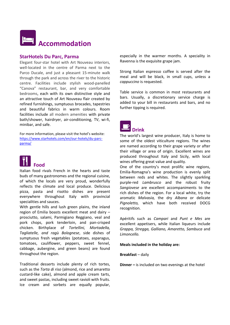

#### **StarHotels Du Parc, Parma**

Elegant four-star hotel with Art Nouveau interiors, well-located in the centre of Parma next to the Parco Ducale, and just a pleasant 15-minute walk through the park and across the river to the historic centre. Facilities include stylish wood-panelled "Canova" restaurant, bar, and very comfortable bedrooms, each with its own distinctive style and an attractive touch of Art Nouveau flair created by refined furnishings, sumptuous brocades, tapestries and beautiful fabrics in warm colours. Room facilities include all modern amenities with private bath/shower, hairdryer, air-conditioning, TV, wi-fi, minibar, and safe.

For more information, please visit the hotel's website: [https://www.starhotels.com/en/our-hotels/du-parc](https://www.starhotels.com/en/our-hotels/du-parc-parma/)[parma/](https://www.starhotels.com/en/our-hotels/du-parc-parma/)



Italian food rivals French in the hearts and taste buds of many gastronomes and the regional cuisine, of which the locals are very proud, wonderfully reflects the climate and local produce. Delicious pizza, pasta and risotto dishes are present everywhere throughout Italy with provincial specialities and sauces.

With gentle hills and lush green plains, the inland region of Emilia boasts excellent meat and dairy – prosciutto, salami, Parmigiano Reggiano, veal and pork chops, pork tenderloin, and pan-crisped chicken. Birthplace of *Tortellini, Mortadella, Tagliatelle, and ragù Bolognese*, side dishes of sumptuous fresh vegetables (potatoes, asparagus, tomatoes, cauliflower, peppers, sweet fennel, cabbage, aubergine, and green beans) are found throughout the region.

Traditional desserts include plenty of rich tortes, such as the *Torta di riso* (almond, rice and amaretto custard-like cake), almond and apple cream tarts, and sweet pastas, including sweet ravioli with fruits. Ice cream and sorbets are equally popular,

especially in the warmer months. A speciality in Ravenna is the exquisite grape jam.

Strong Italian espresso coffee is served after the meal and will be black, in small cups, unless a *cappuccino* is requested.

Table service is common in most restaurants and bars. Usually, a discretionary service charge is added to your bill in restaurants and bars, and no further tipping is required.



The world's largest wine producer, Italy is home to some of the oldest viticulture regions. The wines are named according to their grape variety or after their village or area of origin. Excellent wines are produced throughout Italy and Sicily, with local wines offering great value and quality.

One of the country's most prolific wine regions, Emilia-Romagna's wine production is evenly split between reds and whites. The slightly sparkling purple-red *Lambrusco* and the robust fruity *Sangiovese* are excellent accompaniments to the rich dishes of the region. For a local white, try the aromatic *Malvasia,* the dry *Albana* or delicate *Pignoletto,* which have both received DOCG recognition.

Apéritifs such as *Campari* and *Punt e Mes* are excellent appetisers, while Italian liqueurs include *Grappa, Stregga, Galliano, Amaretto, Sambuca* and *Limoncello.* 

**Meals included in the holiday are:**

**Breakfast** – daily

**Dinner –** is included on two evenings at the hotel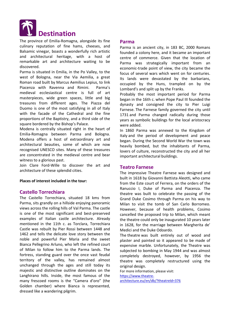

The province of Emilia-Romagna, alongside its fine culinary reputation of fine hams, cheeses, and Balsamic vinegar, boasts a wonderfully rich artistic and architectural heritage, with a host of remarkable art and architecture waiting to be discovered.

Parma is situated in Emilia, in the Po Valley, to the west of Bologna, near the Via Aemilia, a great Roman road built by Marcus Aemilius Lepius, to link Piacenza with Ravenna and Rimini. Parma's medieval ecclesiastical centre is full of art masterpieces, wide green spaces, little and big treasures from different ages. The Piazza del Duomo is one of the most satisfying in all of Italy with the facade of the Cathedral and the fine proportions of the Baptistry, and a third side of the square bordered by the Bishop's Palace.

Modena is centrally situated right in the heart of Emilia-Romagna between Parma and Bologna. Modena offers a host of extraordinary art and architectural beauties, some of which are now recognised UNESCO sites. Many of these treasures are concentrated in the medieval centre and bear witness to a glorious past.

Join Clare Ford-Wille to discover the art and architecture of these splendid cities.

#### **Places of interest included in the tour:**

#### **Castello Torrechiara**

The Castello Torrechiara, situated 18 kms from Parma, sits grandly on a hillside enjoying panoramic views across the rolling hills of Val Parma. The castle is one of the most significant and best-preserved examples of Italian castle architecture. Already mentioned in the 11th c. as Torclara, Torrechiara Castle was rebuilt by Pier Rossi between 1448 and 1462 and tells the delicate love story between the noble and powerful Pier Maria and the sweet Bianca Pellegrino Arluno, who left the refined court of Milan to follow him to the Parma lands. The fortress, standing guard over the once vast feudal territory of the valley, has remained almost unchanged through the ages and still today its majestic and distinctive outline dominates on the Langhirano hills. Inside, the most famous of the many frescoed rooms is the "Camera d'oro" (the Golden chamber) where Bianca is represented, dressed like a wandering pilgrim.

#### **Parma**

Parma is an ancient city, in 183 BC, 2000 Romans founded a colony here, and it became an important centre of commerce. Given that the location of Parma was strategically important from an economic-trade point of view, the city became the focus of several wars which went on for centuries. Its lands were devastated by the barbarians, occupied by the Huns, trampled on by the Lombard's and split up by the Franks.

Probably the most important period for Parma began in the 16th c. when Pope Paul III founded the dynasty and consigned the city to Pier Luigi Farnese. The Farnese family governed the city until 1731 and Parma changed radically during those years as symbolic buildings for the local aristocracy were added.

In 1860 Parma was annexed to the Kingdom of Italy and the period of development and peace began. During the Second World War the town was heavily bombed, but the inhabitants of Parma, lovers of culture, reconstructed the city and all her important architectural buildings.

#### **Teatro Farnese**

The impressive Theatre Farnese was designed and built in 1618 by Giovanni Battista Aleotti, who came from the Este court of Ferrera, on the orders of the Ranuccio I, Duke of Parma and Piacenza. The theatre was built to celebrate the passing of the Grand Duke Cosimo through Parma on his way to Milan to visit the tomb of San Carlo Borromeo. However, because of health problems, Cosimo cancelled the proposed trip to Milan, which meant the theatre could only be inaugurated 10 years later in 1628, for the marriage between Margherita de' Medici and the Duke Odoardo.

The theatre was built entirely out of wood and plaster and painted so it appeared to be made of expensive marble. Unfortunately, the Theatre was subjected to bombing in May 1944 and was almost completely destroyed, however, by 1956 the theatre was completely restructured using the original design.

For more information, please visit: [https://www.theatre](https://www.theatre-architecture.eu/en/db/?theatreId=376)[architecture.eu/en/db/?theatreId=376](https://www.theatre-architecture.eu/en/db/?theatreId=376)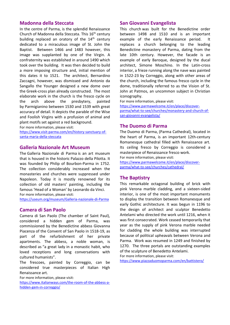# **Madonna della Steccata**

In the centre of Parma, is the splendid Renaissance Church of Madonna della Steccata. This 16<sup>th</sup> century building replaced an oratory of the 14<sup>th</sup> century dedicated to a miraculous image of St. John the Baptist. Between 1466 and 1483 however, this image was supplanted by one of the Virgin. A confraternity was established in around 1490 which took over the building. It was then decided to build a more imposing structure and, initial mention of this dates it to 1521. The architect, Bernardino Zaccagni, however, was dismissed and Antonio da Sangallo the Younger designed a new dome over the Greek-cross plan already constructed. The most elaborate work in the church is the fresco cycle on the arch above the presbytery, painted by Parmigianino between 1530 and 1539 with great accuracy of detail. It depicts the parable of the Wise and Foolish Virgins with a profusion of animal and plant motifs set against a red background.

For more information, please visit: [https://www.visit-parma.com/en/history-sanctuary-of](https://www.visit-parma.com/en/history-sanctuary-of-santa-maria-della-steccata)[santa-maria-della-steccata](https://www.visit-parma.com/en/history-sanctuary-of-santa-maria-della-steccata)

#### **Galleria Nazionale Art Museum**

The Galleria Nazionale di Parma is an art museum that is housed in the historic Palazzo della Pilotta. It was founded by Philip of Bourbon-Parma in 1752. The collection considerably increased when the monasteries and churches were suppressed under Napoleon. Today it is mostly renowned for its collection of old masters' painting, including the famous 'Head of a Woman' by Leonardo da Vinci. For more information, please visit:

<https://useum.org/museum/Galleria-nazionale-di-Parma>

#### **Camera di San Paolo**

Camera di San Paolo (The chamber of Saint Paul), considered a hidden gem of Parma, was commissioned by the Benedictine abbess Giovanna Piacenza of the Convent of San Paolo in 1518-19, as part of the refurbishment of her private apartments. The abbess, a noble woman, is described as "a great lady in a monastic habit, who loved receptions and long conversations with cultured humanists".

The frescoes, painted by Correggio, can be considered true masterpieces of Italian High Renaissance art.

For more information, please visit:

[https://www.italianways.com/the-room-of-the-abbess-a](https://www.italianways.com/the-room-of-the-abbess-a-hidden-gem-in-correggio/)[hidden-gem-in-correggio/](https://www.italianways.com/the-room-of-the-abbess-a-hidden-gem-in-correggio/)

#### **San Giovanni Evangelista**

This church was built for the Benedictine order between 1498 and 1510 and is an important example of the early Renaissance period. It replaces a church belonging to the leading Benedictine monastery of Parma, dating from the late 10th century. However, the facade is an example of early Baroque, designed by the ducal architect, Simone Moschino. In the Latin-cross interior, a frieze running along the nave was painted in 1522-23 by Correggio, along with other areas of the church, including the famous fresco cycle in the dome, traditionally referred to as the Vision of St. John at Patmos, an uncommon subject in Christian iconography.

For more information, please visit:

[https://www.parmawelcome.it/en/place/discover](https://www.parmawelcome.it/en/place/discover-parma/what-to-see/churches/monastery-and-church-of-san-giovanni-evangelista/)[parma/what-to-see/churches/monastery-and-church-of](https://www.parmawelcome.it/en/place/discover-parma/what-to-see/churches/monastery-and-church-of-san-giovanni-evangelista/)[san-giovanni-evangelista/](https://www.parmawelcome.it/en/place/discover-parma/what-to-see/churches/monastery-and-church-of-san-giovanni-evangelista/)

#### **The Duomo di Parma**

The Duomo di Parma, (Parma Cathedral), located in the heart of Parma, is an important 12th-century Romanesque cathedral filled with Renaissance art. Its ceiling fresco by Correggio is considered a masterpiece of Renaissance fresco work.

For more information, please visit:

[https://www.parmawelcome.it/en/place/discover](https://www.parmawelcome.it/en/place/discover-parma/what-to-see/churches/cathedral/)[parma/what-to-see/churches/cathedral/](https://www.parmawelcome.it/en/place/discover-parma/what-to-see/churches/cathedral/)

#### **The Baptistry**

This remarkable octagonal building of brick with pink Verona marble cladding, and a sixteen-sided interior, is one of the most important monuments to display the transition between Romanesque and early Gothic architecture. It was begun in 1196 to the design of architect and sculptor Benedetto Antelami who directed the work until 1216, when it was first consecrated. Work ceased temporarily that year as the supply of pink Verona marble needed for cladding the whole building was interrupted because of political upheavals between Verona and Parma. Work was resumed in 1249 and finished by 1270. The three portals are outstanding examples of the sculpture of Benedetto Antelami.

For more information, please visit:

<https://www.piazzaduomoparma.com/en/battistero/>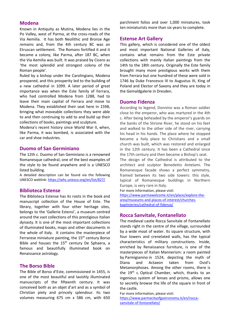#### **Modena**

Known in Antiquity as Mutina, Modena lies in the Po Valley, west of Parma, at the cross-roads of the Via Aemilia. It has both Neolithic and Bronze Age remains and, from the 4th century BC was an Etruscan settlement. The Romans fortified it and it became a colony, like Parma, after 187 BC, when the Via Aemilia was built. It was praised by Cicero as 'the most splendid and strongest colony of the Roman people'.

Ruled by a bishop under the Carolingians, Modena prospered, and this prosperity led to the building of a new cathedral in 1099. A later period of great importance was when the Este family of Ferrara, who had controlled Modena from 1288, had to leave their main capital of Ferrara and move to Modena. They established their seat here in 1598, bringing what moveable collections they were able to and then continuing to add to and build up their collections of books, paintings and sculpture.

Modena's recent history since World War II, when, like Parma, it was bombed, is associated with the car and shoe industries.

#### **Duomo of San Germiniano**

The 12th c. Duomo of San Geminiano is a renowned Romanesque cathedral, one of the best examples of the style to be found anywhere and is a UNESCO listed building.

A detailed description can be found via the following UNESCO weblink: <https://whc.unesco.org/en/list/827/>

#### **Biblioteca Estense**

The Biblioteca Estense has its roots in the book and manuscript collection of the House of Este. The library, together with four other heritage sites, belongs to the 'Gallerie Estensi', a museum centred around the vast collections of this prestigious Italian dynasty. It is one of the most important collections of illuminated books, maps and other documents in the whole of Italy. It contains the masterpiece of Ferrarese miniature painting, the 15<sup>th</sup> century Borso Bible and houses the 15<sup>th</sup> century De Sphaera, a famous and beautifully illuminated book on Renaissance astrology.

#### **The Borso Bible**

The Bible of Borso d'Este, commissioned in 1455, is one of the most beautiful and lavishly illuminated manuscripts of the fifteenth century. It was conceived both as an objet d'art and as a symbol of Christian piety and princely splendour. Its two volumes measuring 675 cm x 586 cm, with 650

parchment folios and over 1,000 miniatures, took ten miniaturists more than six years to complete.

#### **Estense Art Gallery**

This gallery, which is considered one of the oldest and most important National Galleries of Italy, contains what remains from the Este private collections with mainly Italian paintings from the 14th to the 18th century. Originally the Este family brought many more prestigious works with them from Ferrara but one hundred of these were sold in 1746 by Duke Francesco III to Augustus III, King of Poland and Elector of Saxony and they are today in the Gemaldgalerie in Dresden.

#### **Duomo Fidenza**

According to legend, Donnino was a Roman soldier close to the emperor, who was martyred in the 4th c. After being beheaded by the emperor's guards on the banks of the Stirone River, he stood on his feet and walked to the other side of the river, carrying his head in his hands. The place where he stopped became a holy place to Christians and a small church was built, which was restored and enlarged in the 12th century. It has been a Cathedral since the 17th century and then became a Bishop's seat.

The design of the Cathedral is attributed to the architect and sculptor Benedetto Antelami. The Romanesque facade shows a perfect symmetry, framed between its two side towers: this style, typical of Romanesque buildings in Northern Europe, is very rare in Italy.

For more information, please visit:

[https://www.parmawelcome.it/en/place/explore-the](https://www.parmawelcome.it/en/place/explore-the-area/museums-and-places-of-interest/churches-baptisteries/cathedral-of-fidenza/)[area/museums-and-places-of-interest/churches](https://www.parmawelcome.it/en/place/explore-the-area/museums-and-places-of-interest/churches-baptisteries/cathedral-of-fidenza/)[baptisteries/cathedral-of-fidenza/](https://www.parmawelcome.it/en/place/explore-the-area/museums-and-places-of-interest/churches-baptisteries/cathedral-of-fidenza/)

#### **Rocca Sanvitale, Fontanellato**

The medieval castle Rocca Sanvitale of Fontanellato stands right in the centre of the village, surrounded by a wide moat of water. Its square structure, with four towers and crenelated walls, has the typical characteristics of military constructions. Inside, enriched by Renaissance furniture, is one of the masterpieces of Italian Mannerism: a room painted by Parmigianino in 1524, depicting the myth of Diana and Actaeon taken from Ovid's Metamorphoses. Among the other rooms, there is the 19<sup>th</sup> c. Optical Chamber, which, thanks to an ingenious system of lenses and prisms, allows one to secretly browse the life of the square in front of the castle.

For more information, please visit: [https://www.parmacityofgastronomy.it/en/rocca](https://www.parmacityofgastronomy.it/en/rocca-sanvitale-of-fontanellato/)[sanvitale-of-fontanellato/](https://www.parmacityofgastronomy.it/en/rocca-sanvitale-of-fontanellato/)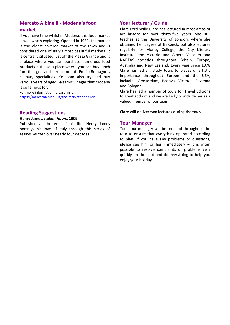# **Mercato Albinelli - Modena's food market**

If you have time whilst in Modena, this food market is well worth exploring. Opened in 1931, the market is the oldest covered market of the town and is considered one of Italy's most beautiful markets. It is centrally situated just off the Piazza Grande and is a place where you can purchase numerous food products but also a place where you can buy lunch 'on the go' and try some of Emilio-Romagno's culinary specialities. You can also try and buy various years of aged Balsamic vinegar that Modena is so famous for.

For more information, please visit: <https://mercatoalbinelli.it/the-market/?lang=en>

# **Reading Suggestions**

#### **Henry James,** *Italian Hours***, 1909.**

Published at the end of his life, Henry James portrays his love of Italy through this series of essays, written over nearly four decades.

# **Your lecturer / Guide**

Clare Ford-Wille Clare has lectured in most areas of art history for over thirty-five years. She still teaches at the University of London, where she obtained her degree at Birkbeck, but also lectures regularly for Morley College, the City Literary Institute, the Victoria and Albert Museum and NADFAS societies throughout Britain, Europe, Australia and New Zealand. Every year since 1978 Clare has led art study tours to places of artistic importance throughout Europe and the USA, including Amsterdam, Padova, Vicenza, Ravenna and Bologna.

Clare has led a number of tours for Travel Editions to great acclaim and we are lucky to include her as a valued member of our team.

#### **Clare will deliver two lectures during the tour.**

#### **Tour Manager**

Your tour manager will be on hand throughout the tour to ensure that everything operated according to plan. If you have any problems or questions, please see him or her immediately – it is often possible to resolve complaints or problems very quickly on the spot and do everything to help you enjoy your holiday.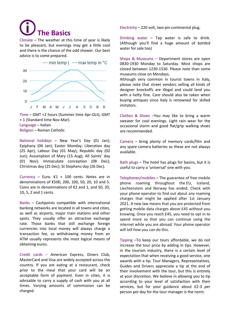**The Basics** 

Climate – The weather at this time of year is likely to be pleasant, but evenings may get a little cool and there is the chance of the odd shower. Our best advice is to come prepared.



Time – GMT +2 hours (Summer time Apr-Oct); GMT + 1 (Standard time Nov-Mar). Language – Italian Religion – Roman Catholic

National holidays – New Year's Day (01 Jan); Epiphany (06 Jan); Easter Monday; Liberation day (25 Apr); Labour Day (01 May); Republic day (02 Jun); Assumption of Mary (15 Aug); All Saints' day (01 Nov); Immaculate conception (08 Dec); Christmas day (25 Dec); St Stephens day (26 Dec).

Currency – Euro.  $\epsilon$ 1 = 100 cents. Notes are in denominations of €500, 200, 100, 50, 20, 10 and 5. Coins are in denominations of €2 and 1, and 50, 20, 10, 5, 2 and 1 cents.

Banks – Cashpoints compatible with international banking networks are located in all towns and cities, as well as airports, major train stations and other spots. They usually offer an attractive exchange rate. Those banks that still exchange foreign currencies into local money will always charge a transaction fee, so withdrawing money from an ATM usually represents the most logical means of obtaining euros.

Credit cards – American Express, Diners Club, MasterCard and Visa are widely accepted across the country. If you are eating at a restaurant, check prior to the meal that your card will be an acceptable form of payment. Even in cities, it is advisable to carry a supply of cash with you at all times. Varying amounts of commission can be charged.

Electricity – 220 volt, two-pin continental plug.

Drinking water – Tap water is safe to drink. (Although you'll find a huge amount of bottled water for sale too)

Shops & Museums – Department stores are open 0830-1930 Monday to Saturday. Most shops are closed between 1230-1530. Please note than some museums close on Mondays.

Although very common in tourist towns in Italy, please note that street vendors selling all kinds of designer knockoffs are illegal and could land you with a hefty fine. Care should also be taken when buying antiques since Italy is renowned for skilled imitators.

Clothes & Shoes –You may like to bring a warm sweater for cool evenings. Light rain wear for the occasional storm and good flat/grip walking shoes are recommended.

Camera – bring plenty of memory cards/film and any spare camera batteries as these are not always available.

Bath plugs – The hotel has plugs for basins, but it is useful to carry a 'universal' one with you.

Telephones/mobiles – The guarantee of free mobile phone roaming throughout the EU, Iceland, Liechtenstein and Norway has ended. Check with your phone operator to find out about any roaming charges that might be applied after 1st January 2021. A new law means that you are protected from getting mobile data charges above £45 without you knowing. Once you reach £45, you need to opt in to spend more so that you can continue using the internet while you are abroad. Your phone operator will tell how you can do this.

Tipping –To keep our tours affordable, we do not increase the tour price by adding in tips. However, in the tourism industry, there is a certain level of expectation that when receiving a good service, one awards with a tip. Tour Managers, Representatives, Guides and Drivers appreciate a tip at the end of their involvement with the tour, but this is entirely at your discretion. We believe in allowing you to tip according to your level of satisfaction with their services, but for your guidance about £2-3 per person per day for the tour manager is the norm.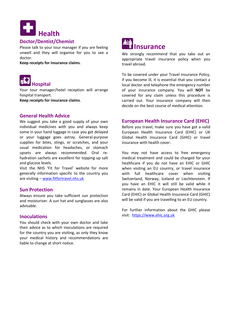

# **Doctor/Dentist/Chemist**

Please talk to your tour manager if you are feeling unwell and they will organise for you to see a doctor.

**Keep receipts for insurance claims**.



Your tour manager/hotel reception will arrange hospital transport.

**Keep receipts for insurance claims**.

# **General Health Advice**

We suggest you take a good supply of your own individual medicines with you and always keep some in your hand luggage in case you get delayed or your luggage goes astray. General-purpose supplies for bites, stings, or scratches, and your usual medication for headaches, or stomach upsets are always recommended. Oral rehydration sachets are excellent for topping up salt and glucose levels.

Visit the NHS 'Fit for Travel' website for more generally information specific to the country you are visiting – [www.fitfortravel.nhs.uk](http://www.fitfortravel.nhs.uk/)

#### **Sun Protection**

Always ensure you take sufficient sun protection and moisturiser. A sun hat and sunglasses are also advisable.

#### **Inoculations**

You should check with your own doctor and take their advice as to which inoculations are required for the country you are visiting, as only they know your medical history and recommendations are liable to change at short notice.



We strongly recommend that you take out an appropriate travel insurance policy when you travel abroad.

To be covered under your Travel Insurance Policy, if you become ill, it is essential that you contact a local doctor and telephone the emergency number of your insurance company. You will **NOT** be covered for any claim unless this procedure is carried out. Your insurance company will then decide on the best course of medical attention.

# **European Health Insurance Card (EHIC)**

Before you travel, make sure you have got a valid European Health Insurance Card (EHIC) or UK Global Health Insurance Card (GHIC) or travel insurance with health cover.

You may not have access to free emergency medical treatment and could be charged for your healthcare if you do not have an EHIC or GHIC when visiting an EU country, or travel insurance with full healthcare cover when visiting Switzerland, Norway, Iceland or Liechtenstein. If you have an EHIC it will still be valid while it remains in date. Your European Health Insurance Card (EHIC) or Global Health Insurance Card (GHIC) will be valid if you are travelling to an EU country.

For further information about the GHIC please visit: [https://www.ehic.org.uk](https://www.ehic.org.uk/)